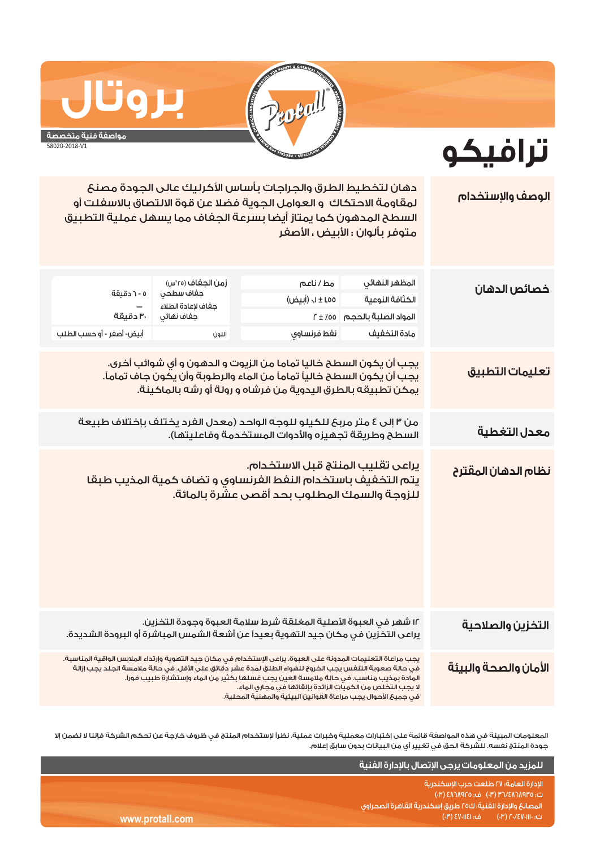

**ترافيكو**

## **بروتال مواصفة فنية متخصصة**

58020-2018-V1

| الوصف والإستخدام      | دهان لتخطيط الطرق والجراجات بأساس الأكرليك عالى الجودة مصنع<br>لمقاومة الاحتكاك و العوامل الجوية فضلا عن قوة الالتصاق بالاسفلت أو<br>السطح المدهون كما يمتاز أيضا بسرعة الجفاف مما يسهل عملية التطبيق<br>متوفر بألوان ؛ الأبيض ، الأصفر                                                                                                                                                                                                          |                                                                                                                                                         |                                                                             |                                                                                  |  |  |
|-----------------------|--------------------------------------------------------------------------------------------------------------------------------------------------------------------------------------------------------------------------------------------------------------------------------------------------------------------------------------------------------------------------------------------------------------------------------------------------|---------------------------------------------------------------------------------------------------------------------------------------------------------|-----------------------------------------------------------------------------|----------------------------------------------------------------------------------|--|--|
| خصائص الدهان          | المظهر النهائى<br>الكثافة النوعية<br>المواد الصلبة بالحجم   00٪ ± r<br>مادة التخفيف                                                                                                                                                                                                                                                                                                                                                              | مط/ناعم<br>۱٬۵۵ ± ۱٬۰ (أبيض)<br>نغط فرنساوي                                                                                                             | زمن الجغاف (٢٥°س)<br>جفاف سطحي<br>جفاف لإعادة الطلاء<br>جفاف نهائى<br>اللون | ٥ - ٦ دقيقة<br>$\overline{\phantom{m}}$<br>۳۰ دقیقة<br>أبيض- أصغر - أو حسب الطلب |  |  |
| تعليمات التطبيق       | يجب أن يكون السطح خاليا تماما من الزيوت و الدهون و أى شوائب أخرى.<br>يجب أن يكون السطح خالياً تماماً من الماء والرطوبة وأن يكون جاف تماماً.<br>يمكن تطبيقه بالطرق اليدوية من فرشاه و رولة أو رشه بالماكينة.                                                                                                                                                                                                                                      |                                                                                                                                                         |                                                                             |                                                                                  |  |  |
| معدل التغطية          | من ٣ إلى ٤ متر مربحَ للكيلو للوجه الواحد (معدل الفرد يختلف بإختلاف طبيعة<br>السطح وطريقة تجهيزه والأدوات المستخدمة وفاعليتها).                                                                                                                                                                                                                                                                                                                   |                                                                                                                                                         |                                                                             |                                                                                  |  |  |
| نظام الدهان المقترح   |                                                                                                                                                                                                                                                                                                                                                                                                                                                  | يراعى تقليب المنتج قبل الاستخدام.<br>يتم التخفيف باستخدام النفط الفرنساوي و تضاف كمية المذيب طبقا<br>للزوجة والسمك المطلوب بحد أقصى عشرة بالمائة.       |                                                                             |                                                                                  |  |  |
| التخزين والصلاحية     |                                                                                                                                                                                                                                                                                                                                                                                                                                                  | ١٢ شهر في العبوة الأصلية المغلقة شرط سلامة العبوة وجودة التخزين.<br>يراعى التخزين في مكان جيد التهوية بعيداً عن أشعة الشمس المباشرة أو البرودة الشديدة. |                                                                             |                                                                                  |  |  |
| الأمان والصحة والبيئة | يجب مراعاة التعليمات المدونة على العبوة. يراعى الإستخدام في مكان جيد التهوية وإرتداء الملابس الواقية المناسبة.<br>فى حالة صعوبة التنفس يجب الخروج للهواء الطلق لمدة عشر دقائق على الأقل. فى حالة ملامسة الجلد يجب إزالة<br>المادة بمذيب مناسب. في حالة ملامسة العين يجب غسلها بكثير من الماء وإستشارة طبيب فوراً.<br>لا يجب التخلص من الكميات الزائدة بالقائها فى مجارى الماء.<br>فى جميعَ الأحوال يجب مراعاة القوانين البيئية والمهنية المحلية. |                                                                                                                                                         |                                                                             |                                                                                  |  |  |

المعلومات المبينة في هذه المواصفة قائمة على إختبارات معملية وخبرات عملية. نظراً لإستخدام المنتج في ظروف خارجة عن تحكم الشركة فإننا لا نضمن إلا جودة المنتج نفسه. للشركة الحق في تغيير أي من البيانات بدون سابق إعلام.

|                 | ِ لَلَمزيد مِن المعلومات يرجى الإتصال بالإدارة الفنية ا                                      |
|-----------------|----------------------------------------------------------------------------------------------|
|                 | الادارة العامة؛ ٢٧ طلعت حرب الاسكندرية<br>ت: ٥٣٩٨٢٨٦٨٩٢٥ (٣٠) ف: ٤٨٦٨٩٢٥ (٣٠)                |
|                 | المصانع والإدارة الفنية؛ ك٢٥ طريق إسكندرية القاهرة الصحراوى ،                                |
| www.protall.com | ف: ٤٧٠١١٤١ (٢٠)<br>$\left(\sqrt{\mathsf{P}}\right)\sqrt{2\mathsf{V}}$ ر ت: ۱۱۱۰٬۱۶۷٬۱۱۱٬۱۰۰٬ |